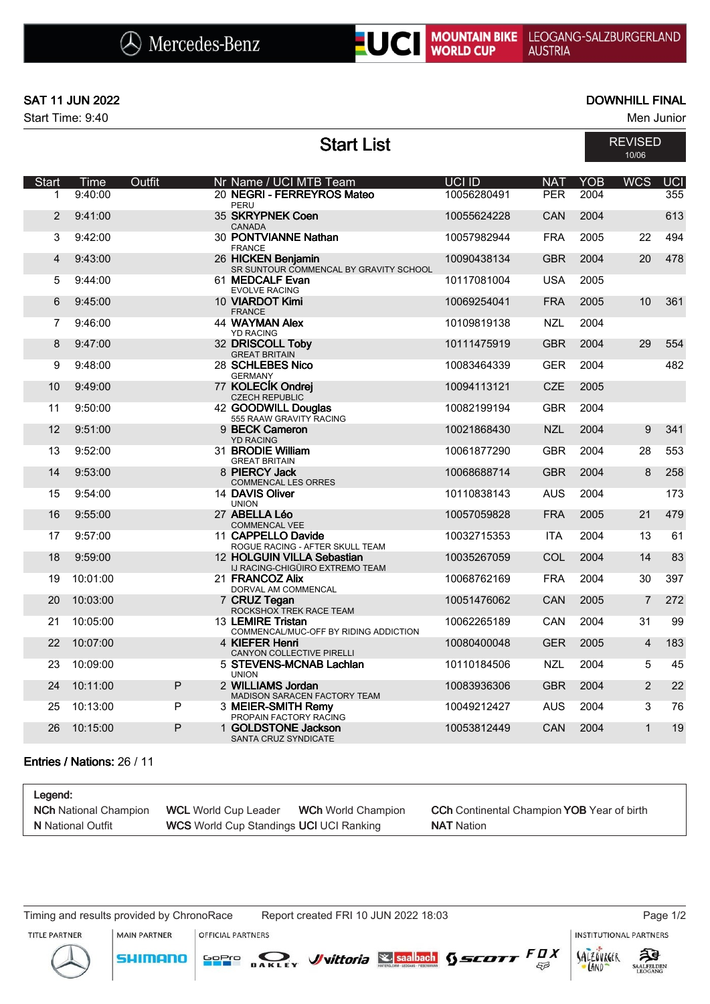## NOUNTAIN BIKE LEOGANG-SALZBURGERLAND

## SAT 11 JUN 2022 DOWNHILL FINAL

Start Time: 9:40 Men Junior

|                |          |               | <b>Start List</b>                                             |               |            |      | <b>REVISED</b><br>10/06 |            |
|----------------|----------|---------------|---------------------------------------------------------------|---------------|------------|------|-------------------------|------------|
| <b>Start</b>   | Time     | <b>Outfit</b> | Nr Name / UCI MTB Team                                        | <b>UCI ID</b> | <b>NAT</b> | YOB  | <b>WCS</b>              | <b>UCI</b> |
| 1              | 9:40:00  |               | 20 NEGRI - FERREYROS Mateo<br>PERU                            | 10056280491   | <b>PER</b> | 2004 |                         | 355        |
| 2              | 9:41:00  |               | 35 SKRYPNEK Coen<br><b>CANADA</b>                             | 10055624228   | CAN        | 2004 |                         | 613        |
| 3              | 9:42:00  |               | 30 PONTVIANNE Nathan<br><b>FRANCE</b>                         | 10057982944   | <b>FRA</b> | 2005 | 22                      | 494        |
| $\overline{4}$ | 9:43:00  |               | 26 HICKEN Benjamin                                            | 10090438134   | <b>GBR</b> | 2004 | 20                      | 478        |
| 5              | 9:44:00  |               | SR SUNTOUR COMMENCAL BY GRAVITY SCHOOL<br>61 MEDCALF Evan     | 10117081004   | <b>USA</b> | 2005 |                         |            |
| 6              | 9:45:00  |               | <b>EVOLVE RACING</b><br>10 VIARDOT Kimi                       | 10069254041   | <b>FRA</b> | 2005 | 10                      | 361        |
| 7              | 9:46:00  |               | <b>FRANCE</b><br><b>44 WAYMAN Alex</b>                        | 10109819138   | <b>NZL</b> | 2004 |                         |            |
| 8              | 9:47:00  |               | <b>YD RACING</b><br>32 DRISCOLL Toby                          | 10111475919   | <b>GBR</b> | 2004 | 29                      | 554        |
| 9              | 9:48:00  |               | <b>GREAT BRITAIN</b><br>28 SCHLEBES Nico                      | 10083464339   | <b>GER</b> | 2004 |                         | 482        |
| 10             | 9:49:00  |               | <b>GERMANY</b><br>77 KOLECÍK Ondrej                           | 10094113121   | <b>CZE</b> | 2005 |                         |            |
| 11             | 9:50:00  |               | <b>CZECH REPUBLIC</b><br>42 GOODWILL Douglas                  | 10082199194   | <b>GBR</b> | 2004 |                         |            |
| 12             | 9:51:00  |               | 555 RAAW GRAVITY RACING<br>9 BECK Cameron                     | 10021868430   | <b>NZL</b> | 2004 | 9                       | 341        |
| 13             | 9:52:00  |               | <b>YD RACING</b><br>31 BRODIE William                         | 10061877290   | <b>GBR</b> | 2004 | 28                      | 553        |
| 14             | 9:53:00  |               | <b>GREAT BRITAIN</b><br>8 PIERCY Jack                         | 10068688714   | <b>GBR</b> | 2004 | $\mathbf{8}$            | 258        |
| 15             | 9:54:00  |               | <b>COMMENCAL LES ORRES</b><br>14 DAVIS Oliver                 | 10110838143   | <b>AUS</b> | 2004 |                         | 173        |
| 16             | 9:55:00  |               | <b>UNION</b><br>27 ABELLA Léo                                 | 10057059828   | <b>FRA</b> | 2005 | 21                      | 479        |
| 17             | 9:57:00  |               | <b>COMMENCAL VEE</b><br>11 CAPPELLO Davide                    | 10032715353   | <b>ITA</b> | 2004 | 13                      | 61         |
| 18             | 9:59:00  |               | ROGUE RACING - AFTER SKULL TEAM<br>12 HOLGUIN VILLA Sebastian | 10035267059   | COL        | 2004 | 14                      | 83         |
| 19             | 10:01:00 |               | IJ RACING-CHIGÜIRO EXTREMO TEAM<br>21 FRANCOZ Alix            | 10068762169   | <b>FRA</b> | 2004 | 30                      | 397        |
| 20             | 10:03:00 |               | DORVAL AM COMMENCAL<br>7 CRUZ Tegan                           | 10051476062   | <b>CAN</b> | 2005 | $\overline{7}$          | 272        |
| 21             | 10:05:00 |               | ROCKSHOX TREK RACE TEAM<br>13 LEMIRE Tristan                  | 10062265189   | <b>CAN</b> | 2004 | 31                      | 99         |
| 22             | 10:07:00 |               | COMMENCAL/MUC-OFF BY RIDING ADDICTION<br>4 KIEFER Henri       | 10080400048   | <b>GER</b> | 2005 | $\overline{4}$          | 183        |
| 23             | 10:09:00 |               | CANYON COLLECTIVE PIRELLI<br>5 STEVENS-MCNAB Lachlan          | 10110184506   | <b>NZL</b> | 2004 | 5                       | 45         |
| 24             | 10:11:00 | P             | <b>UNION</b>                                                  |               | <b>GBR</b> | 2004 | 2                       | 22         |
|                |          |               | 2 WILLIAMS Jordan<br>MADISON SARACEN FACTORY TEAM             | 10083936306   |            |      |                         |            |
| 25             | 10:13:00 | P             | 3 MEIER-SMITH Remy<br>PROPAIN FACTORY RACING                  | 10049212427   | <b>AUS</b> | 2004 | 3                       | 76         |
| 26             | 10:15:00 | P             | 1 GOLDSTONE Jackson<br>SANTA CRUZ SYNDICATE                   | 10053812449   | <b>CAN</b> | 2004 | $\mathbf{1}$            | 19         |

## Entries / Nations: 26 / 11

| Legend:                      |                                                |                           |                                                          |
|------------------------------|------------------------------------------------|---------------------------|----------------------------------------------------------|
| <b>NCh</b> National Champion | <b>WCL</b> World Cup Leader                    | <b>WCh</b> World Champion | <b>CCh</b> Continental Champion <b>YOB</b> Year of birth |
| <b>N</b> National Outfit     | <b>WCS</b> World Cup Standings UCI UCI Ranking |                           | <b>NAT</b> Nation                                        |

Timing and results provided by ChronoRace Report created FRI 10 JUN 2022 18:03 Page 1/2

**MAIN PARTNER** 

INSTITUTIONAL PARTNERS

SALZOVREER

LAND

TITLE PARTNER



**OFFICIAL PARTNERS**